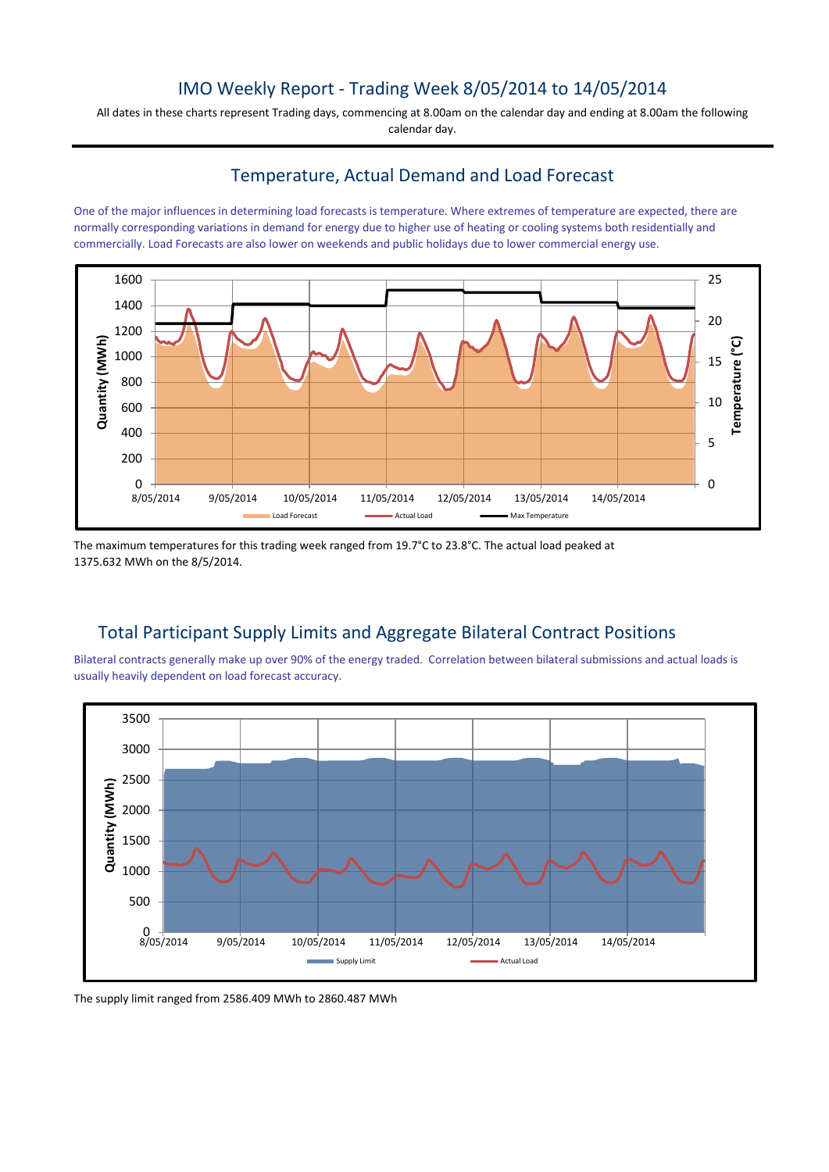### IMO Weekly Report - Trading Week 8/05/2014 to 14/05/2014

All dates in these charts represent Trading days, commencing at 8.00am on the calendar day and ending at 8.00am the following calendar day.

### Temperature, Actual Demand and Load Forecast

One of the major influences in determining load forecasts is temperature. Where extremes of temperature are expected, there are normally corresponding variations in demand for energy due to higher use of heating or cooling systems both residentially and commercially. Load Forecasts are also lower on weekends and public holidays due to lower commercial energy use.



The maximum temperatures for this trading week ranged from 19.7°C to 23.8°C. The actual load peaked at 1375.632 MWh on the 8/5/2014.

## Total Participant Supply Limits and Aggregate Bilateral Contract Positions

Bilateral contracts generally make up over 90% of the energy traded. Correlation between bilateral submissions and actual loads is usually heavily dependent on load forecast accuracy.



The supply limit ranged from 2586.409 MWh to 2860.487 MWh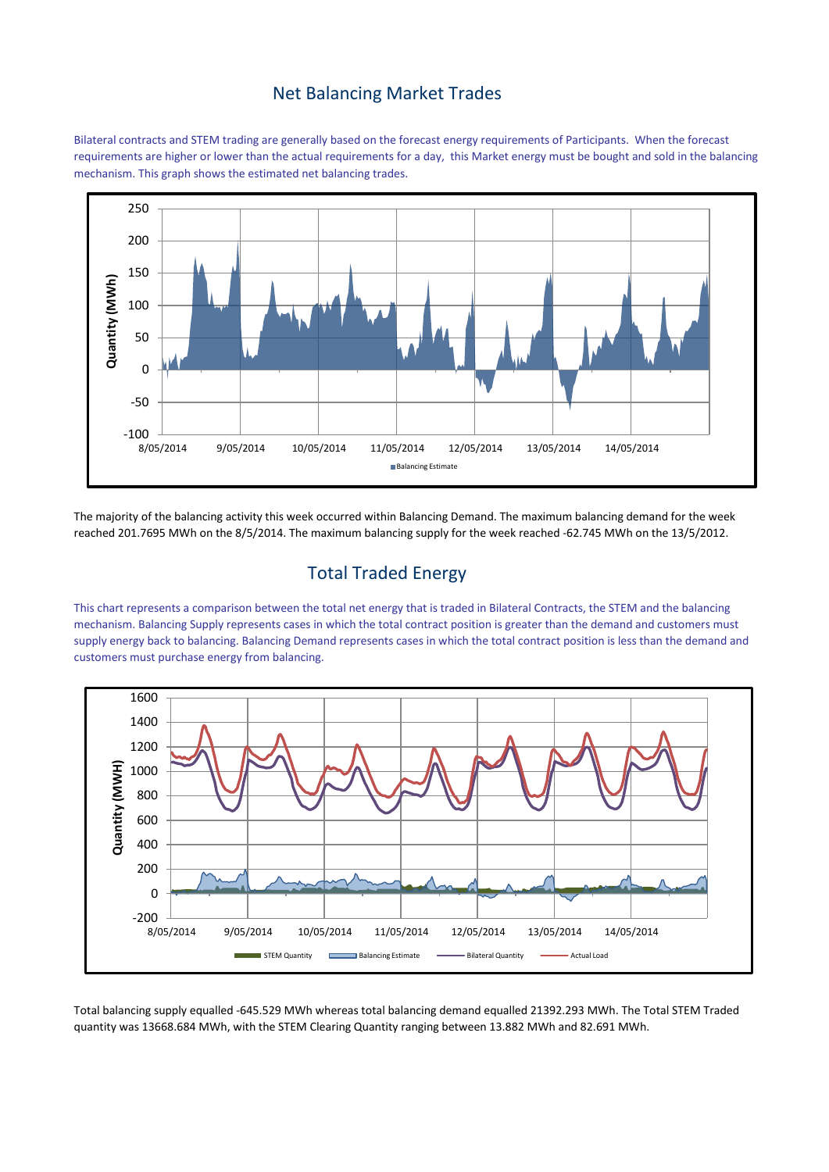#### Net Balancing Market Trades

Bilateral contracts and STEM trading are generally based on the forecast energy requirements of Participants. When the forecast requirements are higher or lower than the actual requirements for a day, this Market energy must be bought and sold in the balancing mechanism. This graph shows the estimated net balancing trades.



The majority of the balancing activity this week occurred within Balancing Demand. The maximum balancing demand for the week reached 201.7695 MWh on the 8/5/2014. The maximum balancing supply for the week reached -62.745 MWh on the 13/5/2012.

## Total Traded Energy

This chart represents a comparison between the total net energy that is traded in Bilateral Contracts, the STEM and the balancing mechanism. Balancing Supply represents cases in which the total contract position is greater than the demand and customers must supply energy back to balancing. Balancing Demand represents cases in which the total contract position is less than the demand and customers must purchase energy from balancing.



Total balancing supply equalled -645.529 MWh whereas total balancing demand equalled 21392.293 MWh. The Total STEM Traded quantity was 13668.684 MWh, with the STEM Clearing Quantity ranging between 13.882 MWh and 82.691 MWh.